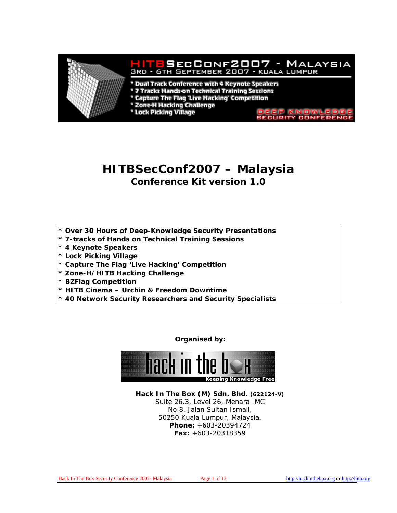

# **HITBSecConf2007 – Malaysia**

**Conference Kit version 1.0** 

- **\* Over 30 Hours of Deep-Knowledge Security Presentations**
- **\* 7-tracks of Hands on Technical Training Sessions**
- **\* 4 Keynote Speakers**
- **\* Lock Picking Village**
- **\* Capture The Flag 'Live Hacking' Competition**
- **\* Zone-H/HITB Hacking Challenge**
- **\* BZFlag Competition**
- **\* HITB Cinema Urchin & Freedom Downtime**
- **\* 40 Network Security Researchers and Security Specialists**

**Organised by:** 



**Hack In The Box (M) Sdn. Bhd. (622124-V)** Suite 26.3, Level 26, Menara IMC No 8. Jalan Sultan Ismail, 50250 Kuala Lumpur, Malaysia. **Phone:** +603-20394724 **Fax:** +603-20318359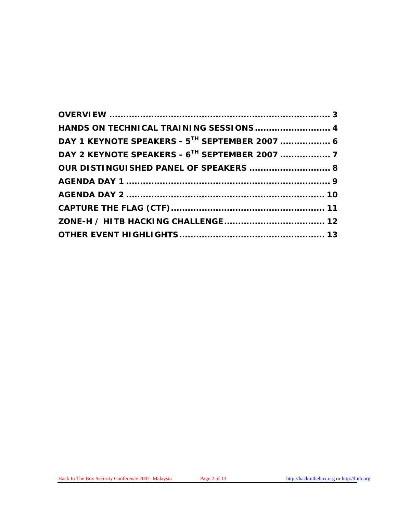| HANDS ON TECHNICAL TRAINING SESSIONS 4                     |  |
|------------------------------------------------------------|--|
| DAY 1 KEYNOTE SPEAKERS - 5 <sup>TH</sup> SEPTEMBER 2007  6 |  |
|                                                            |  |
| OUR DISTINGUISHED PANEL OF SPEAKERS  8                     |  |
|                                                            |  |
|                                                            |  |
|                                                            |  |
|                                                            |  |
|                                                            |  |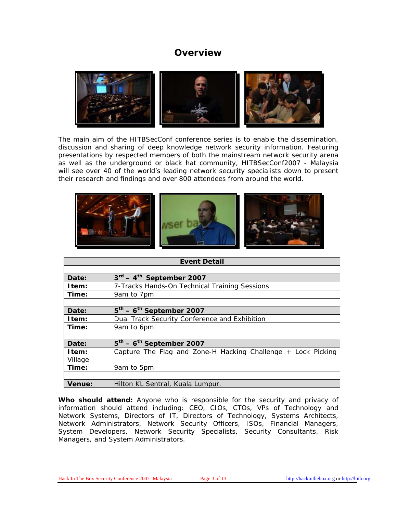### **Overview**

<span id="page-2-0"></span>

The main aim of the HITBSecConf conference series is to enable the dissemination, discussion and sharing of deep knowledge network security information. Featuring presentations by respected members of both the mainstream network security arena as well as the underground or black hat community, HITBSecConf2007 - Malaysia will see over 40 of the world's leading network security specialists down to present their research and findings and over 800 attendees from around the world.



| <b>Event Detail</b> |                                                              |  |
|---------------------|--------------------------------------------------------------|--|
|                     |                                                              |  |
| Date:               | $3^{\text{rd}} - 4^{\text{th}}$ September 2007               |  |
| Item:               | 7-Tracks Hands-On Technical Training Sessions                |  |
| Time:               | 9am to 7pm                                                   |  |
|                     |                                                              |  |
| Date:               | $5th - 6th$ September 2007                                   |  |
| Item:               | Dual Track Security Conference and Exhibition                |  |
| Time:               | 9am to 6pm                                                   |  |
|                     |                                                              |  |
| Date:               | $5th - 6th$ September 2007                                   |  |
| Item:               | Capture The Flag and Zone-H Hacking Challenge + Lock Picking |  |
| Village             |                                                              |  |
| Time:               | 9am to 5pm                                                   |  |
|                     |                                                              |  |
| <b>Venue:</b>       | Hilton KL Sentral, Kuala Lumpur.                             |  |

**Who should attend:** Anyone who is responsible for the security and privacy of information should attend including: CEO, CIOs, CTOs, VPs of Technology and Network Systems, Directors of IT, Directors of Technology, Systems Architects, Network Administrators, Network Security Officers, ISOs, Financial Managers, System Developers, Network Security Specialists, Security Consultants, Risk Managers, and System Administrators.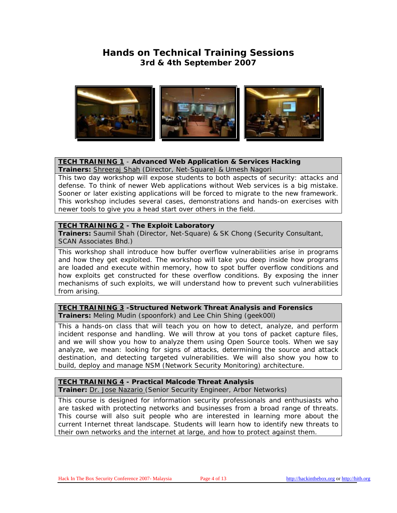### **Hands on Technical Training Sessions 3rd & 4th September 2007**

<span id="page-3-0"></span>

### **[TECH TRAINING 1](http://conference.hackinthebox.org/hitbsecconf2007kl/?page_id=84)** - **Advanced Web Application & Services Hacking**

**Trainers:** [Shreeraj Shah](http://conference.hackinthebox.org/hitbsecconf2007kl/?page_id=81) (Director, Net-Square) & Umesh Nagori This two day workshop will expose students to both aspects of security: attacks and defense. To think of newer Web applications without Web services is a big mistake. Sooner or later existing applications will be forced to migrate to the new framework. This workshop includes several cases, demonstrations and hands-on exercises with newer tools to give you a head start over others in the field.

### **[TECH TRAINING 2](http://conference.hackinthebox.org/hitbsecconf2007kl/?page_id=87) - The Exploit Laboratory**

**Trainers:** Saumil Shah (Director, Net-Square) & SK Chong (Security Consultant, SCAN Associates Bhd.)

This workshop shall introduce how buffer overflow vulnerabilities arise in programs and how they get exploited. The workshop will take you deep inside how programs are loaded and execute within memory, how to spot buffer overflow conditions and how exploits get constructed for these overflow conditions. By exposing the inner mechanisms of such exploits, we will understand how to prevent such vulnerabilities from arising.

### **[TECH TRAINING 3](http://conference.hackinthebox.org/hitbsecconf2007kl/?page_id=89) -Structured Network Threat Analysis and Forensics Trainers:** Meling Mudin (spoonfork) and Lee Chin Shing (geek00l)

This a hands-on class that will teach you on how to detect, analyze, and perform incident response and handling. We will throw at you tons of packet capture files, and we will show you how to analyze them using Open Source tools. When we say analyze, we mean: looking for signs of attacks, determining the source and attack destination, and detecting targeted vulnerabilities. We will also show you how to build, deploy and manage NSM (Network Security Monitoring) architecture.

#### **[TECH TRAINING 4](http://conference.hackinthebox.org/hitbsecconf2007kl/?page_id=85) - Practical Malcode Threat Analysis Trainer:** [Dr. Jose Nazario \(](http://conference.hackinthebox.org/hitbsecconf2007kl/?page_id=126)Senior Security Engineer, Arbor Networks)

This course is designed for information security professionals and enthusiasts who are tasked with protecting networks and businesses from a broad range of threats. This course will also suit people who are interested in learning more about the current Internet threat landscape. Students will learn how to identify new threats to their own networks and the internet at large, and how to protect against them.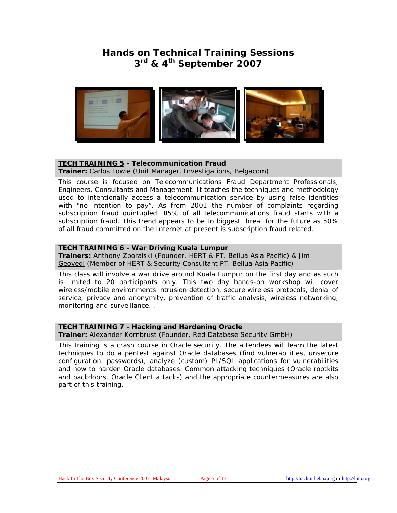## **Hands on Technical Training Sessions 3rd & 4th September 2007**



### **[TECH TRAINING 5](http://conference.hackinthebox.org/hitbsecconf2007kl/?page_id=136) - Telecommunication Fraud**

**Trainer:** [Carlos Lowie](http://conference.hackinthebox.org/hitbsecconf2007kl/?page_id=127) (Unit Manager, Investigations, Belgacom)

This course is focused on Telecommunications Fraud Department Professionals, Engineers, Consultants and Management. It teaches the techniques and methodology used to intentionally access a telecommunication service by using false identities with "no intention to pay". As from 2001 the number of complaints regarding subscription fraud quintupled. 85% of all telecommunications fraud starts with a subscription fraud. This trend appears to be to biggest threat for the future as 50% of all fraud committed on the Internet at present is subscription fraud related.

### **[TECH TRAINING 6](http://conference.hackinthebox.org/hitbsecconf2007kl/?page_id=137) - War Driving Kuala Lumpur**

**Trainers:** [Anthony Zboralski](http://conference.hackinthebox.org/hitbsecconf2007kl/?page_id=128) (Founder, HERT & PT. Bellua Asia Pacific) & [Jim](http://conference.hackinthebox.org/hitbsecconf2007kl/?page_id=129)  [Geovedi](http://conference.hackinthebox.org/hitbsecconf2007kl/?page_id=129) (Member of HERT & Security Consultant PT. Bellua Asia Pacific)

This class will involve a war drive around Kuala Lumpur on the first day and as such is limited to 20 participants only. This two day hands-on workshop will cover wireless/mobile environments intrusion detection, secure wireless protocols, denial of service, privacy and anonymity, prevention of traffic analysis, wireless networking, monitoring and surveillance…

### **[TECH TRAINING 7](http://conference.hackinthebox.org/hitbsecconf2007kl/?page_id=144) - Hacking and Hardening Oracle**

**Trainer:** [Alexander Kornbrust](http://conference.hackinthebox.org/hitbsecconf2007kl/?page_id=158) (Founder, Red Database Security GmbH)

This training is a crash course in Oracle security. The attendees will learn the latest techniques to do a pentest against Oracle databases (find vulnerabilities, unsecure configuration, passwords), analyze (custom) PL/SQL applications for vulnerabilities and how to harden Oracle databases. Common attacking techniques (Oracle rootkits and backdoors, Oracle Client attacks) and the appropriate countermeasures are also part of this training.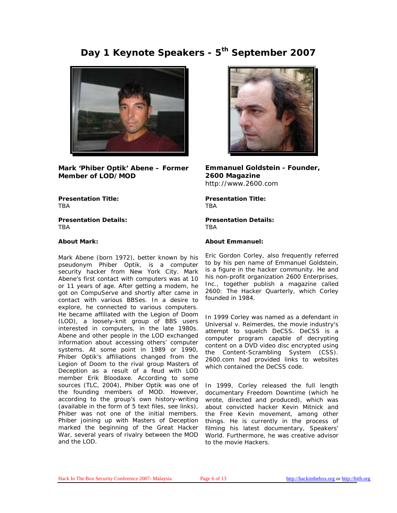## Day 1 Keynote Speakers - 5<sup>th</sup> September 2007

<span id="page-5-0"></span>

**Mark 'Phiber Optik' Abene – Former Member of LOD/MOD** 

**Presentation Title: TRA** 

**Presentation Details: TRA** 

#### **About Mark:**

Mark Abene (born 1972), better known by his pseudonym Phiber Optik, is a computer security hacker from New York City. Mark Abene's first contact with computers was at 10 or 11 years of age. After getting a modem, he got on CompuServe and shortly after came in contact with various BBSes. In a desire to explore, he connected to various computers. He became affiliated with the Legion of Doom (LOD), a loosely-knit group of BBS users interested in computers, in the late 1980s. Abene and other people in the LOD exchanged information about accessing others' computer systems. At some point in 1989 or 1990, Phiber Optik's affiliations changed from the Legion of Doom to the rival group Masters of Deception as a result of a feud with LOD member Erik Bloodaxe. According to some sources (TLC, 2004), Phiber Optik was one of the founding members of MOD. However, according to the group's own history-writing (available in the form of 5 text files, see links), Phiber was not one of the initial members. Phiber joining up with Masters of Deception marked the beginning of the Great Hacker War, several years of rivalry between the MOD and the LOD.



**Emmanuel Goldstein - Founder, 2600 Magazine**  http://www.2600.com

**Presentation Title: TRA** 

**Presentation Details: TRA** 

#### **About Emmanuel:**

Eric Gordon Corley, also frequently referred to by his pen name of Emmanuel Goldstein, is a figure in the [hacker](http://en.wikipedia.org/wiki/Hacker) community. He and his [non-profit organization](http://en.wikipedia.org/wiki/Non-profit_organization) 2600 Enterprises, Inc., together publish a magazine called *[2600: The Hacker Quarterly](http://en.wikipedia.org/wiki/2600:_The_Hacker_Quarterly)*, which Corley founded in 1984.

In 1999 Corley was named as a defendant in *[Universal v. Reimerdes,](http://en.wikipedia.org/wiki/Universal_v._Reimerdes)* the movie industry's attempt to squelch [DeCSS.](http://en.wikipedia.org/wiki/DeCSS) DeCSS is a [computer program](http://en.wikipedia.org/wiki/Computer_program) capable of decrypting content on a [DVD](http://en.wikipedia.org/wiki/DVD) video disc [encrypted](http://en.wikipedia.org/wiki/Encryption) using the [Content-Scrambling System](http://en.wikipedia.org/wiki/Content-scrambling_system) (CSS). 2600.com had provided [links](http://en.wikipedia.org/wiki/Hyperlink) to websites which contained the DeCSS [code.](http://en.wikipedia.org/wiki/Code)

In 1999, Corley released the full length documentary *[Freedom Downtime](http://en.wikipedia.org/wiki/Freedom_Downtime)* (which he wrote, directed and produced), which was about convicted hacker [Kevin Mitnick](http://en.wikipedia.org/wiki/Kevin_Mitnick) and the Free Kevin movement, among other things. He is currently in the process of filming his latest documentary, *[Speakers'](http://en.wikipedia.org/wiki/Speakers%27_World)  [World](http://en.wikipedia.org/wiki/Speakers%27_World)*. Furthermore, he was creative advisor to the movie *[Hackers](http://en.wikipedia.org/wiki/Hackers_%28movie%29)*.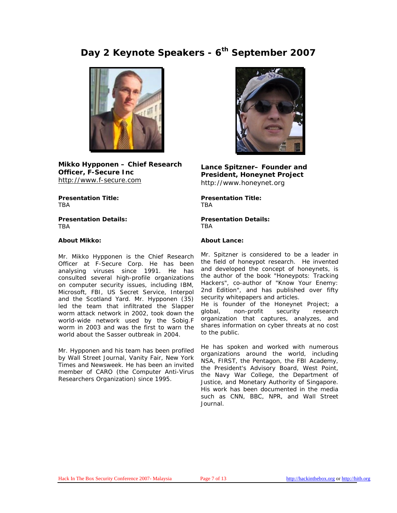## <span id="page-6-0"></span>Day 2 Keynote Speakers - 6<sup>th</sup> September 2007



**Mikko Hypponen – Chief Research Officer, F-Secure Inc**  [http://www.f-secure.com](http://www.f-secure.com/) 

**Presentation Title:**  TBA

**Presentation Details:**  TBA

#### **About Mikko:**

Mr. Mikko Hypponen is the Chief Research Officer at F-Secure Corp. He has been analysing viruses since 1991. He has consulted several high-profile organizations on computer security issues, including IBM, Microsoft, FBI, US Secret Service, Interpol and the Scotland Yard. Mr. Hypponen (35) led the team that infiltrated the Slapper worm attack network in 2002, took down the world-wide network used by the Sobig.F worm in 2003 and was the first to warn the world about the Sasser outbreak in 2004.

Mr. Hypponen and his team has been profiled by Wall Street Journal, Vanity Fair, New York Times and Newsweek. He has been an invited member of CARO (the Computer Anti-Virus Researchers Organization) since 1995.



**Lance Spitzner– Founder and President, Honeynet Project**  http://www.honeynet.org

**Presentation Title:**  TBA

**Presentation Details: TRA** 

#### **About Lance:**

Mr. Spitzner is considered to be a leader in the field of honeypot research. He invented and developed the concept of honeynets, is the author of the book "Honeypots: Tracking Hackers", co-author of "Know Your Enemy: 2nd Edition", and has published over fifty security whitepapers and articles.

He is founder of the Honeynet Project; a global, non-profit security research organization that captures, analyzes, and shares information on cyber threats at no cost to the public.

He has spoken and worked with numerous organizations around the world, including NSA, FIRST, the Pentagon, the FBI Academy, the President's Advisory Board, West Point, the Navy War College, the Department of Justice, and Monetary Authority of Singapore. His work has been documented in the media such as CNN, BBC, NPR, and Wall Street Journal.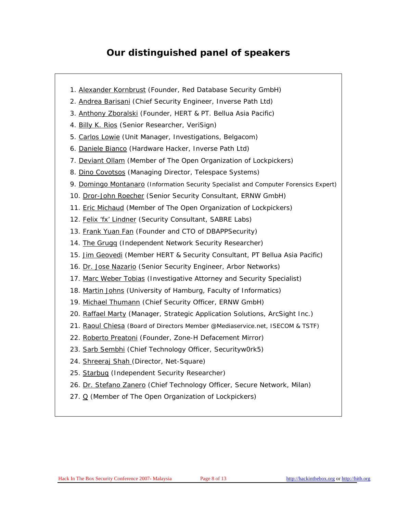## **Our distinguished panel of speakers**

- <span id="page-7-0"></span>1. [Alexander Kornbrust](http://conference.hackinthebox.org/hitbsecconf2007kl/?page_id=158) (Founder, Red Database Security GmbH)
- 2. [Andrea Barisani](http://conference.hackinthebox.org/hitbsecconf2007kl/?page_id=146) (Chief Security Engineer, Inverse Path Ltd)
- 3. [Anthony Zboralski](http://conference.hackinthebox.org/hitbsecconf2007kl/?page_id=128) (Founder, HERT & PT. Bellua Asia Pacific)
- 4. [Billy K. Rios](http://conference.hackinthebox.org/hitbsecconf2007kl/?page_id=148) (Senior Researcher, VeriSign)
- 5. [Carlos Lowie](http://conference.hackinthebox.org/hitbsecconf2007kl/?page_id=127) (Unit Manager, Investigations, Belgacom)
- 6. [Daniele Bianco](http://conference.hackinthebox.org/hitbsecconf2007kl/?page_id=147) (Hardware Hacker, Inverse Path Ltd)
- 7. [Deviant Ollam](http://conference.hackinthebox.org/hitbsecconf2007kl/?page_id=135) (Member of The Open Organization of Lockpickers)
- 8. [Dino Covotsos](http://conference.hackinthebox.org/hitbsecconf2007kl/?page_id=149) (Managing Director, Telespace Systems)
- 9. [Domingo Montanaro](http://conference.hackinthebox.org/hitbsecconf2007kl/?page_id=150) (Information Security Specialist and Computer Forensics Expert)
- 10. [Dror-John Roecher](http://conference.hackinthebox.org/hitbsecconf2007kl/?page_id=151) (Senior Security Consultant, ERNW GmbH)
- 11. [Eric Michaud](http://conference.hackinthebox.org/hitbsecconf2007kl/?page_id=135) (Member of The Open Organization of Lockpickers)
- 12. [Felix 'fx' Lindner](http://conference.hackinthebox.org/hitbsecconf2007kl/?page_id=130) (Security Consultant, SABRE Labs)
- 13. [Frank Yuan Fan](http://conference.hackinthebox.org/hitbsecconf2007kl/?page_id=133) (Founder and CTO of DBAPPSecurity)
- 14. [The Grugq](http://conference.hackinthebox.org/hitbsecconf2007kl/?page_id=125) (Independent Network Security Researcher)
- 15. [Jim Geovedi](http://conference.hackinthebox.org/hitbsecconf2007kl/?page_id=129) (Member HERT & Security Consultant, PT Bellua Asia Pacific)
- 16. [Dr. Jose Nazario](http://conference.hackinthebox.org/hitbsecconf2007kl/?page_id=126) (Senior Security Engineer, Arbor Networks)
- 17. [Marc Weber Tobias](http://conference.hackinthebox.org/hitbsecconf2007kl/?page_id=153) (Investigative Attorney and Security Specialist)
- 18. [Martin Johns](http://conference.hackinthebox.org/hitbsecconf2007kl/?page_id=154) (University of Hamburg, Faculty of Informatics)
- 19. [Michael Thumann](http://conference.hackinthebox.org/hitbsecconf2007kl/?page_id=152) (Chief Security Officer, ERNW GmbH)
- 20. [Raffael Marty](http://conference.hackinthebox.org/hitbsecconf2007kl/?page_id=131) (Manager, Strategic Application Solutions, ArcSight Inc.)
- 21. [Raoul Chiesa](http://conference.hackinthebox.org/hitbsecconf2007kl/?page_id=155) (Board of Directors Member @Mediaservice.net, ISECOM & TSTF)
- 22. [Roberto Preatoni](http://conference.hackinthebox.org/hitbsecconf2007kl/?page_id=134) (Founder, Zone-H Defacement Mirror)
- 23. [Sarb Sembhi](http://conference.hackinthebox.org/hitbsecconf2007kl/?page_id=156) (Chief Technology Officer, Securityw0rk5)
- 24. [Shreeraj Shah \(](http://conference.hackinthebox.org/hitbsecconf2007kl/?page_id=81)Director, Net-Square)
- 25. [Starbug](http://conference.hackinthebox.org/hitbsecconf2007kl/?page_id=157) (Independent Security Researcher)
- 26. [Dr. Stefano Zanero](http://conference.hackinthebox.org/hitbsecconf2007kl/?page_id=132) (Chief Technology Officer, Secure Network, Milan)
- 27. [Q](http://conference.hackinthebox.org/hitbsecconf2007kl/?page_id=135) (Member of The Open Organization of Lockpickers)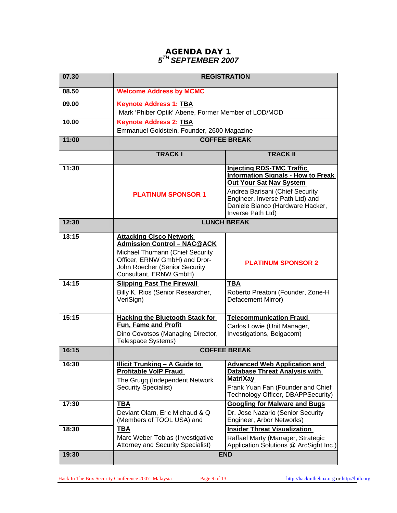### **AGENDA DAY 1**  *5TH SEPTEMBER 2007*

<span id="page-8-0"></span>

| 07.30 | <b>REGISTRATION</b>                                                                                                                                                                                 |                                                                                                                                                                                                                                         |  |
|-------|-----------------------------------------------------------------------------------------------------------------------------------------------------------------------------------------------------|-----------------------------------------------------------------------------------------------------------------------------------------------------------------------------------------------------------------------------------------|--|
| 08.50 | <b>Welcome Address by MCMC</b>                                                                                                                                                                      |                                                                                                                                                                                                                                         |  |
| 09.00 | <b>Keynote Address 1: TBA</b><br>Mark 'Phiber Optik' Abene, Former Member of LOD/MOD                                                                                                                |                                                                                                                                                                                                                                         |  |
| 10.00 | <b>Keynote Address 2: TBA</b><br>Emmanuel Goldstein, Founder, 2600 Magazine                                                                                                                         |                                                                                                                                                                                                                                         |  |
| 11:00 | <b>COFFEE BREAK</b>                                                                                                                                                                                 |                                                                                                                                                                                                                                         |  |
|       | <b>TRACKI</b>                                                                                                                                                                                       | <b>TRACK II</b>                                                                                                                                                                                                                         |  |
| 11:30 | <b>PLATINUM SPONSOR 1</b>                                                                                                                                                                           | <b>Injecting RDS-TMC Traffic</b><br><b>Information Signals - How to Freak</b><br>Out Your Sat Nav System<br>Andrea Barisani (Chief Security<br>Engineer, Inverse Path Ltd) and<br>Daniele Bianco (Hardware Hacker,<br>Inverse Path Ltd) |  |
| 12:30 | <b>LUNCH BREAK</b>                                                                                                                                                                                  |                                                                                                                                                                                                                                         |  |
| 13:15 | <b>Attacking Cisco Network</b><br><b>Admission Control - NAC@ACK</b><br>Michael Thumann (Chief Security<br>Officer, ERNW GmbH) and Dror-<br>John Roecher (Senior Security<br>Consultant, ERNW GmbH) | <b>PLATINUM SPONSOR 2</b>                                                                                                                                                                                                               |  |
| 14:15 | <b>Slipping Past The Firewall</b><br>Billy K. Rios (Senior Researcher,<br>VeriSign)                                                                                                                 | <b>TBA</b><br>Roberto Preatoni (Founder, Zone-H<br>Defacement Mirror)                                                                                                                                                                   |  |
| 15:15 | <b>Hacking the Bluetooth Stack for</b><br>Fun, Fame and Profit<br>Dino Covotsos (Managing Director,<br>Telespace Systems)                                                                           | <b>Telecommunication Fraud</b><br>Carlos Lowie (Unit Manager,<br>Investigations, Belgacom)                                                                                                                                              |  |
| 16:15 | <b>COFFEE BREAK</b>                                                                                                                                                                                 |                                                                                                                                                                                                                                         |  |
| 16:30 | <b>Illicit Trunking - A Guide to</b><br><b>Profitable VoIP Fraud</b><br>The Grugg (Independent Network<br><b>Security Specialist)</b>                                                               | <b>Advanced Web Application and</b><br><b>Database Threat Analysis with</b><br><b>MatriXay</b><br>Frank Yuan Fan (Founder and Chief<br>Technology Officer, DBAPPSecurity)                                                               |  |
| 17:30 | <b>TBA</b><br>Deviant Olam, Eric Michaud & Q<br>(Members of TOOL USA) and                                                                                                                           | <b>Googling for Malware and Bugs</b><br>Dr. Jose Nazario (Senior Security<br>Engineer, Arbor Networks)                                                                                                                                  |  |
| 18:30 | <b>TBA</b><br>Marc Weber Tobias (Investigative<br><b>Attorney and Security Specialist)</b>                                                                                                          | <b>Insider Threat Visualization</b><br>Raffael Marty (Manager, Strategic<br>Application Solutions @ ArcSight Inc.)                                                                                                                      |  |
| 19:30 | <b>END</b>                                                                                                                                                                                          |                                                                                                                                                                                                                                         |  |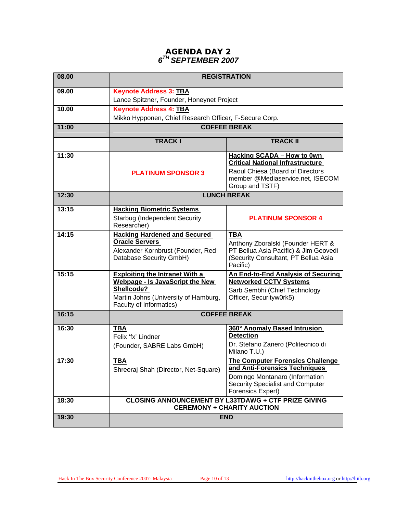### **AGENDA DAY 2**  *6TH SEPTEMBER 2007*

<span id="page-9-0"></span>

| 08.00 | <b>REGISTRATION</b>                                                                             |                                                                             |  |
|-------|-------------------------------------------------------------------------------------------------|-----------------------------------------------------------------------------|--|
| 09.00 | <b>Keynote Address 3: TBA</b>                                                                   |                                                                             |  |
|       | Lance Spitzner, Founder, Honeynet Project                                                       |                                                                             |  |
| 10.00 | <b>Keynote Address 4: TBA</b>                                                                   |                                                                             |  |
|       | Mikko Hypponen, Chief Research Officer, F-Secure Corp.                                          |                                                                             |  |
| 11:00 | <b>COFFEE BREAK</b>                                                                             |                                                                             |  |
|       | <b>TRACKI</b>                                                                                   | <b>TRACK II</b>                                                             |  |
| 11:30 |                                                                                                 | <b>Hacking SCADA - How to 0wn</b>                                           |  |
|       |                                                                                                 | <b>Critical National Infrastructure</b><br>Raoul Chiesa (Board of Directors |  |
|       | <b>PLATINUM SPONSOR 3</b>                                                                       | member @Mediaservice.net, ISECOM                                            |  |
|       |                                                                                                 | Group and TSTF)                                                             |  |
| 12:30 | <b>LUNCH BREAK</b>                                                                              |                                                                             |  |
| 13:15 | <b>Hacking Biometric Systems</b>                                                                |                                                                             |  |
|       | <b>Starbug (Independent Security</b><br>Researcher)                                             | <b>PLATINUM SPONSOR 4</b>                                                   |  |
| 14:15 | <b>Hacking Hardened and Secured</b>                                                             | <b>TBA</b>                                                                  |  |
|       | <b>Oracle Servers</b>                                                                           | Anthony Zboralski (Founder HERT &                                           |  |
|       | Alexander Kornbrust (Founder, Red                                                               | PT Bellua Asia Pacific) & Jim Geovedi                                       |  |
|       | Database Security GmbH)                                                                         | (Security Consultant, PT Bellua Asia<br>Pacific)                            |  |
| 15:15 | <b>Exploiting the Intranet With a</b>                                                           | <b>An End-to-End Analysis of Securing</b>                                   |  |
|       | <b>Webpage - Is JavaScript the New</b><br>Shellcode?                                            | <b>Networked CCTV Systems</b>                                               |  |
|       | Martin Johns (University of Hamburg,                                                            | Sarb Sembhi (Chief Technology<br>Officer, Securityw0rk5)                    |  |
|       | Faculty of Informatics)                                                                         |                                                                             |  |
| 16:15 | <b>COFFEE BREAK</b>                                                                             |                                                                             |  |
| 16:30 | <b>TBA</b>                                                                                      | 360° Anomaly Based Intrusion                                                |  |
|       | Felix 'fx' Lindner                                                                              | <b>Detection</b>                                                            |  |
|       | (Founder, SABRE Labs GmbH)                                                                      | Dr. Stefano Zanero (Politecnico di<br>Milano T.U.)                          |  |
| 17:30 | <b>TBA</b>                                                                                      | <b>The Computer Forensics Challenge</b>                                     |  |
|       | Shreeraj Shah (Director, Net-Square)                                                            | and Anti-Forensics Techniques<br>Domingo Montanaro (Information             |  |
|       |                                                                                                 | Security Specialist and Computer                                            |  |
|       |                                                                                                 | Forensics Expert)                                                           |  |
| 18:30 | <b>CLOSING ANNOUNCEMENT BY L33TDAWG + CTF PRIZE GIVING</b><br><b>CEREMONY + CHARITY AUCTION</b> |                                                                             |  |
| 19:30 | <b>END</b>                                                                                      |                                                                             |  |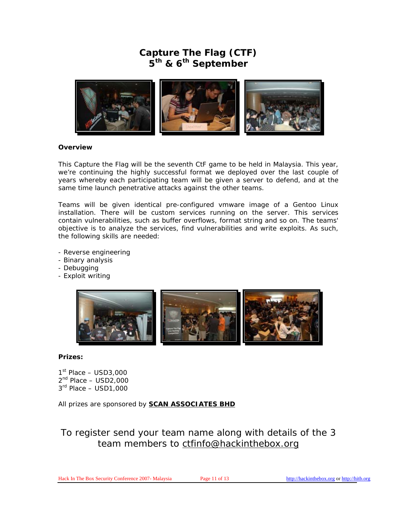## **Capture The Flag (CTF) 5th & 6th September**

<span id="page-10-0"></span>

#### **Overview**

This Capture the Flag will be the seventh CtF game to be held in Malaysia. This year, we're continuing the highly successful format we deployed over the last couple of years whereby each participating team will be given a server to defend, and at the same time launch penetrative attacks against the other teams.

Teams will be given identical pre-configured vmware image of a Gentoo Linux installation. There will be custom services running on the server. This services contain vulnerabilities, such as buffer overflows, format string and so on. The teams' objective is to analyze the services, find vulnerabilities and write exploits. As such, the following skills are needed:

- Reverse engineering
- Binary analysis
- Debugging
- Exploit writing



### **Prizes:**

 $1<sup>st</sup>$  Place – USD3,000  $2<sup>nd</sup>$  Place  $-$  USD2,000  $3<sup>rd</sup>$  Place – USD1,000

All prizes are sponsored by **[SCAN ASSOCIATES BHD](http://www.scan-associates.net/)**

## To register send your team name along with details of the 3 team members to [ctfinfo@hackinthebox.org](mailto:ctfinfo@hackinthebox.org)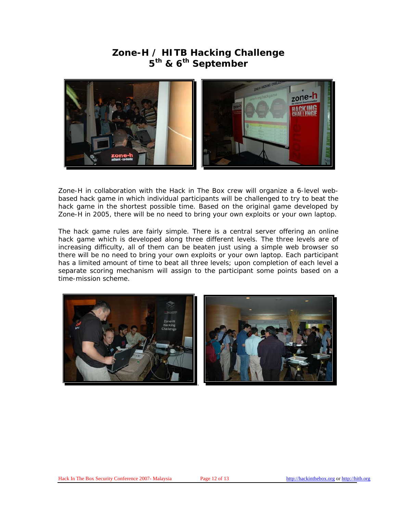### **Zone-H / HITB Hacking Challenge 5th & 6th September**

<span id="page-11-0"></span>

Zone-H in collaboration with the Hack in The Box crew will organize a 6-level webbased hack game in which individual participants will be challenged to try to beat the hack game in the shortest possible time. Based on the original game developed by Zone-H in 2005, there will be no need to bring your own exploits or your own laptop.

The hack game rules are fairly simple. There is a central server offering an online hack game which is developed along three different levels. The three levels are of increasing difficulty, all of them can be beaten just using a simple web browser so there will be no need to bring your own exploits or your own laptop. Each participant has a limited amount of time to beat all three levels; upon completion of each level a separate scoring mechanism will assign to the participant some points based on a time-mission scheme.